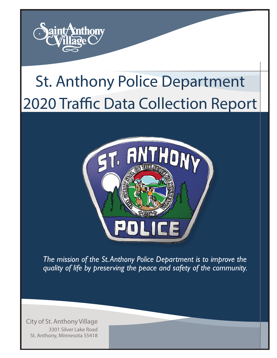

# St. Anthony Police Department 2020 Traffic Data Collection Report



*The mission of the St. Anthony Police Department is to improve the quality of life by preserving the peace and safety of the community.*

City of St. Anthony Village 3301 Silver Lake Road St. Anthony, Minnesota 55418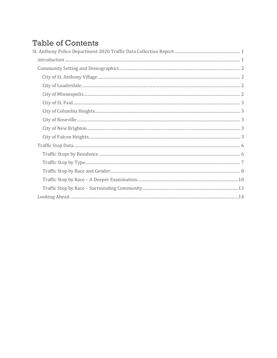# **Table of Contents**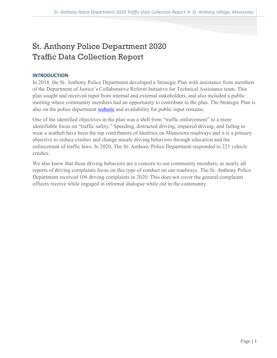# <span id="page-2-0"></span>St. Anthony Police Department 2020 Traffic Data Collection Report

# <span id="page-2-1"></span>**INTRODUCTION**

In 2018, the St. Anthony Police Department developed a Strategic Plan with assistance from members of the Department of Justice's Collaborative Reform Initiative for Technical Assistance team. This plan sought and received input from internal and external stakeholders, and also included a public meeting where community members had an opportunity to contribute to the plan. The Strategic Plan is also on the police department [website](http://www.savmn.com/421/Vision-and-Goals-Pyramid) and availability for public input remains.

One of the identified objectives in the plan was a shift from "traffic enforcement" to a more identifiable focus on "traffic safety." Speeding, distracted driving, impaired driving, and failing to wear a seatbelt have been the top contributors of fatalities on Minnesota roadways and it is a primary objective to reduce crashes and change unsafe driving behaviors through education and the enforcement of traffic laws. In 2020, The St. Anthony Police Department responded to 221 vehicle crashes.

We also know that these driving behaviors are a concern to our community members, as nearly all reports of driving complaints focus on this type of conduct on our roadways. The St. Anthony Police Department received 106 driving complaints in 2020. This does not cover the general complaints officers receive while engaged in informal dialogue while out in the community.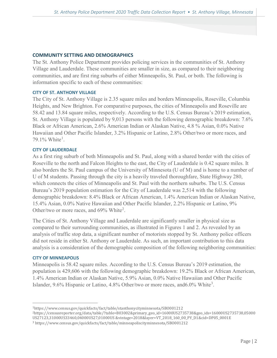# <span id="page-3-0"></span>**COMMUNITY SETTING AND DEMOGRAPHICS**

The St. Anthony Police Department provides policing services in the communities of St. Anthony Village and Lauderdale. These communities are smaller in size, as compared to their neighboring communities, and are first ring suburbs of either Minneapolis, St. Paul, or both. The following is information specific to each of these communities:

# <span id="page-3-1"></span>**CITY OF ST. ANTHONY VILLAGE**

The City of St. Anthony Village is 2.35 square miles and borders Minneapolis, Roseville, Columbia Heights, and New Brighton. For comparative purposes, the cities of Minneapolis and Roseville are 58.42 and 13.84 square miles, respectively. According to the U.S. Census Bureau's 2019 estimation, St. Anthony Village is populated by 9,013 persons with the following demographic breakdown: 7.6% Black or African American, 2.6% American Indian or Alaskan Native, 4.8 % Asian, 0.0% Native Hawaiian and Other Pacific Islander, 3.2% Hispanic or Latino, 2.8% Other/two or more races, and 79.[1](#page-3-4)% White<sup>1</sup>.

# <span id="page-3-2"></span>**CITY OF LAUDERDALE**

As a first ring suburb of both Minneapolis and St. Paul, along with a shared border with the cities of Roseville to the north and Falcon Heights to the east, the City of Lauderdale is 0.42 square miles. It also borders the St. Paul campus of the University of Minnesota (U of M) and is home to a number of U of M students. Passing through the city is a heavily traveled thoroughfare, State Highway 280, which connects the cities of Minneapolis and St. Paul with the northern suburbs. The U.S. Census Bureau's 2019 population estimation for the City of Lauderdale was 2,514 with the following demographic breakdown: 8.4% Black or African American, 1.4% American Indian or Alaskan Native, 15.4% Asian, 0.0% Native Hawaiian and Other Pacific Islander, 2.2% Hispanic or Latino, 9% Other/two or more races, and 69% White<sup>[2](#page-3-5)</sup>.

The Cities of St. Anthony Village and Lauderdale are significantly smaller in physical size as compared to their surrounding communities, as illustrated in Figures 1 and 2. As revealed by an analysis of traffic stop data, a significant number of motorists stopped by St. Anthony police officers did not reside in either St. Anthony or Lauderdale. As such, an important contribution to this data analysis is a consideration of the demographic composition of the following neighboring communities:

# <span id="page-3-3"></span>**CITY OF MINNEAPOLIS**

Minneapolis is 58.42 square miles. According to the U.S. Census Bureau's 2019 estimation, the population is 429,606 with the following demographic breakdown: 19.2% Black or African American, 1.4% American Indian or Alaskan Native, 5.9% Asian, 0.0% Native Hawaiian and Other Pacific Islander, 9.6% Hispanic or Latino, 4.8% Other/two or more races, and 6.0% White<sup>[3](#page-3-6)</sup>.

<span id="page-3-4"></span> <sup>1</sup>https://www.census.gov/quickfacts/fact/table/stanthonycityminnesota/SBO001212

<span id="page-3-5"></span><sup>2</sup>https://censusreporter.org/data/table/?table=B03002&primary\_geo\_id=16000US2735738&geo\_ids=16000US2735738,05000 US27123,31000US33460,04000US27,01000US &vintage=2018&layer=VT\_2018\_160\_00\_PY\_D1&cid=DP05\_0001E

<span id="page-3-6"></span><sup>3</sup> https://www.census.gov/quickfacts/fact/table/minneapoliscityminnesota/SBO001212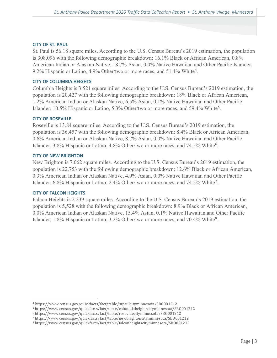#### <span id="page-4-0"></span>**CITY OF ST. PAUL**

St. Paul is 56.18 square miles. According to the U.S. Census Bureau's 2019 estimation, the population is 308,096 with the following demographic breakdown: 16.1% Black or African American, 0.8% American Indian or Alaskan Native, 18.7% Asian, 0.0% Native Hawaiian and Other Pacific Islander, 9.2% Hispanic or Latino, [4](#page-4-5).9% Other/two or more races, and 51.4% White<sup>4</sup>.

## <span id="page-4-1"></span>**CITY OF COLUMBIA HEIGHTS**

Columbia Heights is 3.521 square miles. According to the U.S. Census Bureau's 2019 estimation, the population is 20,427 with the following demographic breakdown: 18% Black or African American, 1.2% American Indian or Alaskan Native, 6.5% Asian, 0.1% Native Hawaiian and Other Pacific Islander, 10.[5](#page-4-6)% Hispanic or Latino, 5.3% Other/two or more races, and 59.4% White<sup>5</sup>.

# <span id="page-4-2"></span>**CITY OF ROSEVILLE**

Roseville is 13.84 square miles. According to the U.S. Census Bureau's 2019 estimation, the population is 36,457 with the following demographic breakdown: 8.4% Black or African American, 0.6% American Indian or Alaskan Native, 8.7% Asian, 0.0% Native Hawaiian and Other Pacific Islander, 3.8% Hispanic or Latino, 4.8% Other/two or more races, and 74.5% White<sup>[6](#page-4-7)</sup>.

#### <span id="page-4-3"></span>**CITY OF NEW BRIGHTON**

New Brighton is 7.062 square miles. According to the U.S. Census Bureau's 2019 estimation, the population is 22,753 with the following demographic breakdown: 12.6% Black or African American, 0.3% American Indian or Alaskan Native, 4.9% Asian, 0.0% Native Hawaiian and Other Pacific Islander, 6.8% Hispanic or Latino, 2.4% Other/two or more races, and [7](#page-4-8)4.2% White<sup>7</sup>.

#### <span id="page-4-4"></span>**CITY OF FALCON HEIGHTS**

Falcon Heights is 2.239 square miles. According to the U.S. Census Bureau's 2019 estimation, the population is 5,528 with the following demographic breakdown: 8.9% Black or African American, 0.0% American Indian or Alaskan Native, 15.4% Asian, 0.1% Native Hawaiian and Other Pacific Islander, 1.[8](#page-4-9)% Hispanic or Latino, 3.2% Other/two or more races, and 70.4% White<sup>8</sup>.

<span id="page-4-5"></span> <sup>4</sup> https://www.census.gov/quickfacts/fact/table/stpaulcityminnesota/SBO001212

<span id="page-4-6"></span><sup>5</sup> https://www.census.gov/quickfacts/fact/table/columbiaheightscityminnesota/SBO001212

<span id="page-4-7"></span><sup>6</sup> https://www.census.gov/quickfacts/fact/table/rosevillecityminnesota/SBO001212

<span id="page-4-8"></span><sup>7</sup> https://www.census.gov/quickfacts/fact/table/newbrightoncityminnesota/SBO001212

<span id="page-4-9"></span><sup>8</sup> https://www.census.gov/quickfacts/fact/table/falconheightscityminnesota/SBO001212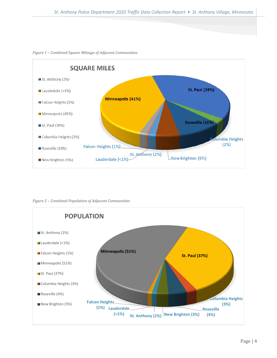

*Figure 1 – Combined Square Mileage of Adjacent Communities*

*Figure 2 – Combined Population of Adjacent Communities*

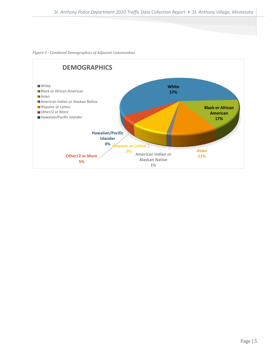

#### *Figure 3 - Combined Demographics of Adjacent Communities*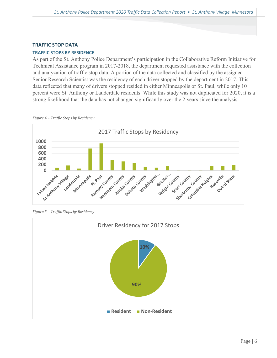# <span id="page-7-0"></span>**TRAFFIC STOP DATA**

# <span id="page-7-1"></span>**TRAFFIC STOPS BY RESIDENCE**

As part of the St. Anthony Police Department's participation in the Collaborative Reform Initiative for Technical Assistance program in 2017-2018, the department requested assistance with the collection and analyzation of traffic stop data. A portion of the data collected and classified by the assigned Senior Research Scientist was the residency of each driver stopped by the department in 2017. This data reflected that many of drivers stopped resided in either Minneapolis or St. Paul, while only 10 percent were St. Anthony or Lauderdale residents. While this study was not duplicated for 2020, it is a strong likelihood that the data has not changed significantly over the 2 years since the analysis.





*Figure 5 – Traffic Stops by Residency*

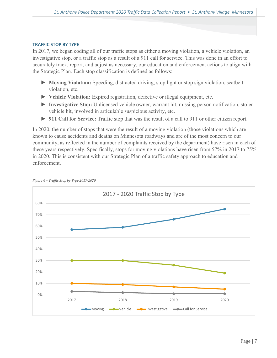## <span id="page-8-0"></span>**TRAFFIC STOP BY TYPE**

In 2017, we began coding all of our traffic stops as either a moving violation, a vehicle violation, an investigative stop, or a traffic stop as a result of a 911 call for service. This was done in an effort to accurately track, report, and adjust as necessary, our education and enforcement actions to align with the Strategic Plan. Each stop classification is defined as follows:

- ► **Moving Violation:** Speeding, distracted driving, stop light or stop sign violation, seatbelt violation, etc.
- ► **Vehicle Violation:** Expired registration, defective or illegal equipment, etc.
- ► **Investigative Stop:** Unlicensed vehicle owner, warrant hit, missing person notification, stolen vehicle hit, involved in articulable suspicious activity, etc.
- ► **911 Call for Service:** Traffic stop that was the result of a call to 911 or other citizen report.

In 2020, the number of stops that were the result of a moving violation (those violations which are known to cause accidents and deaths on Minnesota roadways and are of the most concern to our community, as reflected in the number of complaints received by the department) have risen in each of these years respectively. Specifically, stops for moving violations have risen from 57% in 2017 to 75% in 2020. This is consistent with our Strategic Plan of a traffic safety approach to education and enforcement.



#### *Figure 6 – Traffic Stop by Type 2017-2020*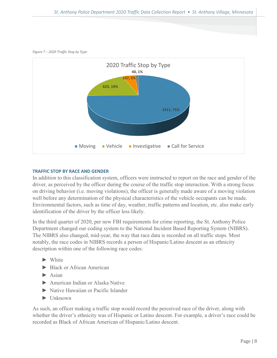*Figure 7 – 2020 Traffic Stop by Type*



# <span id="page-9-0"></span>**TRAFFIC STOP BY RACE AND GENDER**

In addition to this classification system, officers were instructed to report on the race and gender of the driver, as perceived by the officer during the course of the traffic stop interaction. With a strong focus on driving behavior (i.e. moving violations), the officer is generally made aware of a moving violation well before any determination of the physical characteristics of the vehicle occupants can be made. Environmental factors, such as time of day, weather, traffic patterns and location, etc. also make early identification of the driver by the officer less likely.

In the third quarter of 2020, per new FBI requirements for crime reporting, the St. Anthony Police Department changed our coding system to the National Incident Based Reporting System (NIBRS). The NIBRS also changed, mid-year, the way that race data is recorded on all traffic stops. Most notably, the race codes in NIBRS records a person of Hispanic/Latino descent as an ethnicity description within one of the following race codes:

- ► White
- ► Black or African American
- ► Asian
- ► American Indian or Alaska Native
- ► Native Hawaiian or Pacific Islander
- ► Unknown

As such, an officer making a traffic stop would record the perceived race of the driver, along with whether the driver's ethnicity was of Hispanic or Latino descent. For example, a driver's race could be recorded as Black of African American of Hispanic/Latino descent.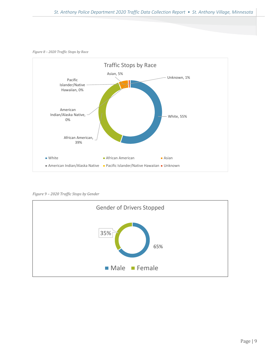*Figure 8 – 2020 Traffic Stops by Race* 



*Figure 9 – 2020 Traffic Stops by Gender*

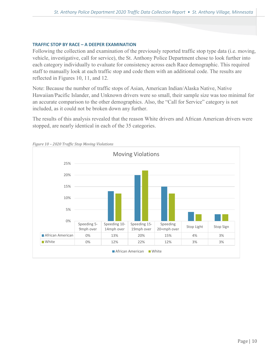## <span id="page-11-0"></span>**TRAFFIC STOP BY RACE – A DEEPER EXAMINATION**

Following the collection and examination of the previously reported traffic stop type data (i.e. moving, vehicle, investigative, call for service), the St. Anthony Police Department chose to look further into each category individually to evaluate for consistency across each Race demographic. This required staff to manually look at each traffic stop and code them with an additional code. The results are reflected in Figures 10, 11, and 12.

Note: Because the number of traffic stops of Asian, American Indian/Alaska Native, Native Hawaiian/Pacific Islander, and Unknown drivers were so small, their sample size was too minimal for an accurate comparison to the other demographics. Also, the "Call for Service" category is not included, as it could not be broken down any further.

The results of this analysis revealed that the reason White drivers and African American drivers were stopped, are nearly identical in each of the 35 categories.



*Figure 10 – 2020 Traffic Stop Moving Violations*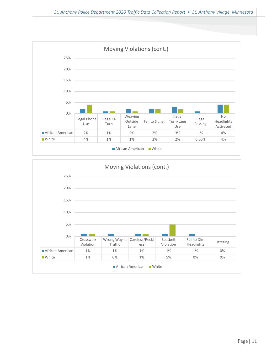

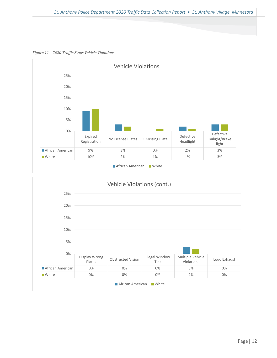*Figure 11 – 2020 Traffic Stops Vehicle Violations*



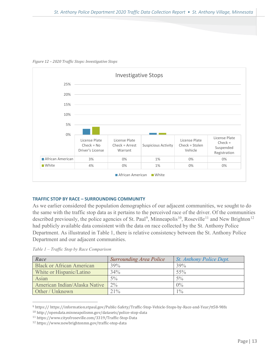

*Figure 12 – 2020 Traffic Stops: Investigative Stops*

# <span id="page-14-0"></span>**TRAFFIC STOP BY RACE – SURROUNDING COMMUNITY**

As we earlier considered the population demographics of our adjacent communities, we sought to do the same with the traffic stop data as it pertains to the perceived race of the driver. Of the communities described previously, the police agencies of St. Paul<sup>[9](#page-14-1)</sup>, Minneapolis<sup>10</sup>, Roseville<sup>[11](#page-14-3)</sup> and New Brighton<sup>[12](#page-14-4)</sup> had publicly available data consistent with the data on race collected by the St. Anthony Police Department. As illustrated in Table 1, there is relative consistency between the St. Anthony Police Department and our adjacent communities.

*Table 1 – Traffic Stop by Race Comparison* 

| Race                             | <b>Surrounding Area Police</b> | St. Anthony Police Dept. |
|----------------------------------|--------------------------------|--------------------------|
| <b>Black or African American</b> | 39%                            | 39%                      |
| White or Hispanic/Latino         | 34%                            | $55\%$                   |
| Asian                            | $5\%$                          | $5\%$                    |
| American Indian/Alaska Native    | $2\%$                          | $0\%$                    |
| Other / Unknown                  | 21%                            | $1\%$                    |

<span id="page-14-1"></span> <sup>9</sup> https:// https://information.stpaul.gov/Public-Safety/Traffic-Stop-Vehicle-Stops-by-Race-and-Year/tt58-98fx

<span id="page-14-2"></span><sup>10</sup> http://opendata.minneapolismn.gov/datasets/police-stop-data

<span id="page-14-3"></span><sup>11</sup> https://www.cityofroseville.com/3319/Traffic-Stop-Data

<span id="page-14-4"></span><sup>12</sup> https://www.newbrightonmn.gov/traffic-stop-data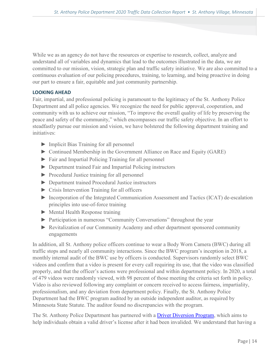While we as an agency do not have the resources or expertise to research, collect, analyze and understand all of variables and dynamics that lead to the outcomes illustrated in the data, we are committed to our mission, vision, strategic plan and traffic safety initiative. We are also committed to a continuous evaluation of our policing procedures, training, to learning, and being proactive in doing our part to ensure a fair, equitable and just community partnership.

# <span id="page-15-0"></span>**LOOKING AHEAD**

Fair, impartial, and professional policing is paramount to the legitimacy of the St. Anthony Police Department and all police agencies. We recognize the need for public approval, cooperation, and community with us to achieve our mission, "To improve the overall quality of life by preserving the peace and safety of the community," which encompasses our traffic safety objective. In an effort to steadfastly pursue our mission and vision, we have bolstered the following department training and initiatives:

- ► Implicit Bias Training for all personnel
- ► Continued Membership in the Government Alliance on Race and Equity (GARE)
- ► Fair and Impartial Policing Training for all personnel
- ► Department trained Fair and Impartial Policing instructors
- ► Procedural Justice training for all personnel
- ► Department trained Procedural Justice instructors
- ► Crisis Intervention Training for all officers
- ► Incorporation of the Integrated Communication Assessment and Tactics (ICAT) de-escalation principles into use-of-force training
- ► Mental Health Response training
- ► Participation in numerous "Community Conversations" throughout the year
- ► Revitalization of our Community Academy and other department sponsored community engagements

In addition, all St. Anthony police officers continue to wear a Body Worn Camera (BWC) during all traffic stops and nearly all community interactions. Since the BWC program's inception in 2018, a monthly internal audit of the BWC use by officers is conducted. Supervisors randomly select BWC videos and confirm that a video is present for every call requiring its use, that the video was classified properly, and that the officer's actions were professional and within department policy. In 2020, a total of 479 videos were randomly viewed, with 98 percent of those meeting the criteria set forth in policy. Video is also reviewed following any complaint or concern received to access fairness, impartiality, professionalism, and any deviation from department policy. Finally, the St. Anthony Police Department had the BWC program audited by an outside independent auditor, as required by Minnesota State Statute. The auditor found no discrepancies with the program.

The St. Anthony Police Department has partnered with a **Driver Diversion Program**, which aims to help individuals obtain a valid driver's license after it had been invalided. We understand that having a